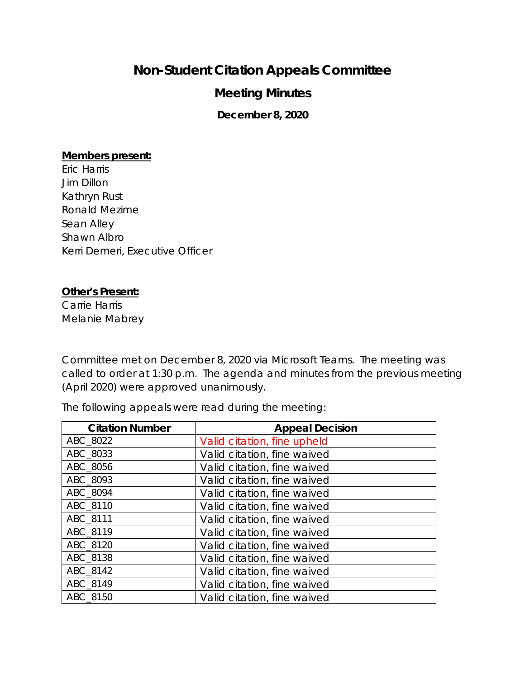## **Non-Student Citation Appeals Committee**

## **Meeting Minutes**

**December 8, 2020**

## **Members present:**

Eric Harris Jim Dillon Kathryn Rust Ronald Mezime Sean Alley Shawn Albro Kerri Demeri, Executive Officer

## **Other's Present:**

Carrie Harris Melanie Mabrey

Committee met on December 8, 2020 via Microsoft Teams. The meeting was called to order at 1:30 p.m. The agenda and minutes from the previous meeting (April 2020) were approved unanimously.

The following appeals were read during the meeting:

| <b>Citation Number</b> | <b>Appeal Decision</b>      |
|------------------------|-----------------------------|
| ABC 8022               | Valid citation, fine upheld |
| ABC 8033               | Valid citation, fine waived |
| ABC 8056               | Valid citation, fine waived |
| ABC 8093               | Valid citation, fine waived |
| ABC 8094               | Valid citation, fine waived |
| ABC 8110               | Valid citation, fine waived |
| ABC 8111               | Valid citation, fine waived |
| ABC 8119               | Valid citation, fine waived |
| ABC 8120               | Valid citation, fine waived |
| ABC 8138               | Valid citation, fine waived |
| ABC 8142               | Valid citation, fine waived |
| ABC 8149               | Valid citation, fine waived |
| ABC 8150               | Valid citation, fine waived |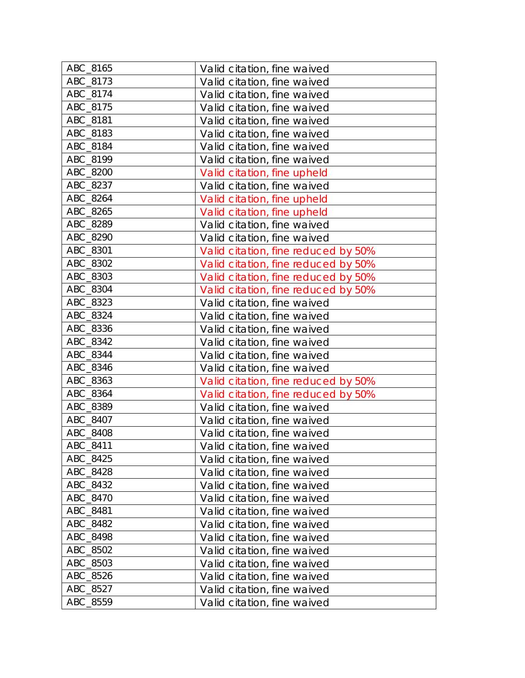| ABC_8165        | Valid citation, fine waived         |
|-----------------|-------------------------------------|
| ABC_8173        | Valid citation, fine waived         |
| ABC_8174        | Valid citation, fine waived         |
| ABC_8175        | Valid citation, fine waived         |
| <b>ABC 8181</b> | Valid citation, fine waived         |
| ABC_8183        | Valid citation, fine waived         |
| ABC_8184        | Valid citation, fine waived         |
| ABC_8199        | Valid citation, fine waived         |
| ABC_8200        | Valid citation, fine upheld         |
| ABC_8237        | Valid citation, fine waived         |
| ABC_8264        | Valid citation, fine upheld         |
| ABC_8265        | Valid citation, fine upheld         |
| ABC_8289        | Valid citation, fine waived         |
| ABC_8290        | Valid citation, fine waived         |
| ABC_8301        | Valid citation, fine reduced by 50% |
| ABC_8302        | Valid citation, fine reduced by 50% |
| ABC_8303        | Valid citation, fine reduced by 50% |
| ABC_8304        | Valid citation, fine reduced by 50% |
| ABC_8323        | Valid citation, fine waived         |
| ABC_8324        | Valid citation, fine waived         |
| ABC_8336        | Valid citation, fine waived         |
| ABC_8342        | Valid citation, fine waived         |
| ABC_8344        | Valid citation, fine waived         |
| ABC_8346        | Valid citation, fine waived         |
| ABC_8363        | Valid citation, fine reduced by 50% |
| ABC_8364        | Valid citation, fine reduced by 50% |
| ABC_8389        | Valid citation, fine waived         |
| ABC_8407        | Valid citation, fine waived         |
| ABC_8408        | Valid citation, fine waived         |
| ABC_8411        | Valid citation, fine waived         |
| ABC_8425        | Valid citation, fine waived         |
| ABC_8428        | Valid citation, fine waived         |
| ABC_8432        | Valid citation, fine waived         |
| ABC_8470        | Valid citation, fine waived         |
| ABC_8481        | Valid citation, fine waived         |
| ABC 8482        | Valid citation, fine waived         |
| ABC_8498        | Valid citation, fine waived         |
| ABC_8502        | Valid citation, fine waived         |
| ABC_8503        | Valid citation, fine waived         |
| ABC_8526        | Valid citation, fine waived         |
| ABC_8527        | Valid citation, fine waived         |
| ABC_8559        | Valid citation, fine waived         |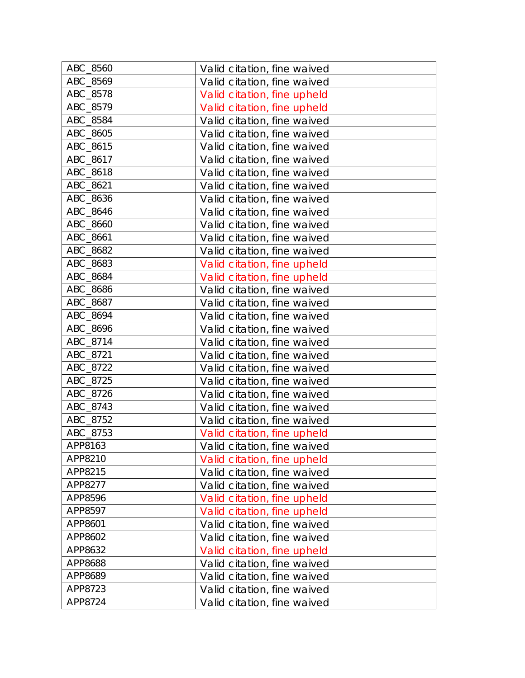| ABC_8560 | Valid citation, fine waived |
|----------|-----------------------------|
| ABC_8569 | Valid citation, fine waived |
| ABC_8578 | Valid citation, fine upheld |
| ABC_8579 | Valid citation, fine upheld |
| ABC_8584 | Valid citation, fine waived |
| ABC_8605 | Valid citation, fine waived |
| ABC_8615 | Valid citation, fine waived |
| ABC_8617 | Valid citation, fine waived |
| ABC_8618 | Valid citation, fine waived |
| ABC_8621 | Valid citation, fine waived |
| ABC_8636 | Valid citation, fine waived |
| ABC_8646 | Valid citation, fine waived |
| ABC_8660 | Valid citation, fine waived |
| ABC_8661 | Valid citation, fine waived |
| ABC_8682 | Valid citation, fine waived |
| ABC_8683 | Valid citation, fine upheld |
| ABC_8684 | Valid citation, fine upheld |
| ABC_8686 | Valid citation, fine waived |
| ABC_8687 | Valid citation, fine waived |
| ABC_8694 | Valid citation, fine waived |
| ABC_8696 | Valid citation, fine waived |
| ABC_8714 | Valid citation, fine waived |
| ABC_8721 | Valid citation, fine waived |
| ABC_8722 | Valid citation, fine waived |
| ABC_8725 | Valid citation, fine waived |
| ABC_8726 | Valid citation, fine waived |
| ABC_8743 | Valid citation, fine waived |
| ABC_8752 | Valid citation, fine waived |
| ABC_8753 | Valid citation, fine upheld |
| APP8163  | Valid citation, fine waived |
| APP8210  | Valid citation, fine upheld |
| APP8215  | Valid citation, fine waived |
| APP8277  | Valid citation, fine waived |
| APP8596  | Valid citation, fine upheld |
| APP8597  | Valid citation, fine upheld |
| APP8601  | Valid citation, fine waived |
| APP8602  | Valid citation, fine waived |
| APP8632  | Valid citation, fine upheld |
| APP8688  | Valid citation, fine waived |
| APP8689  | Valid citation, fine waived |
| APP8723  | Valid citation, fine waived |
| APP8724  | Valid citation, fine waived |